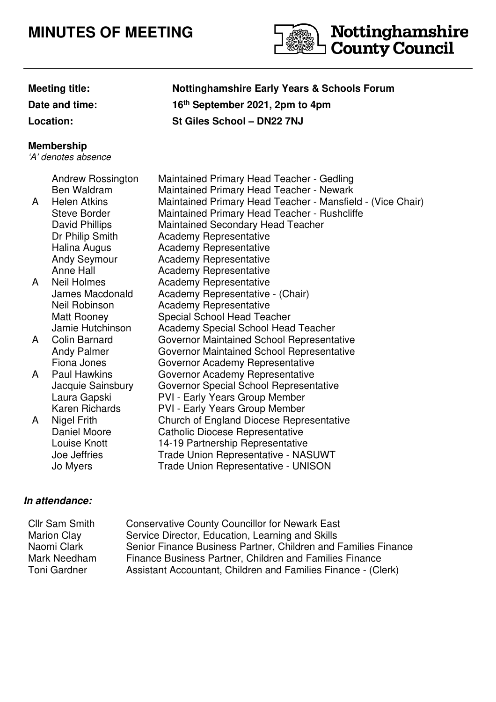## **MINUTES OF MEETING**



**Nottinghamshire Early Years & Schools Forum** 

**th September 2021, 2pm to 4pm**

**Date and time:** 

**Location: St Giles School – DN22 7NJ**

## **Membership**

'A' denotes absence

| A | <b>Andrew Rossington</b><br>Ben Waldram<br><b>Helen Atkins</b><br><b>Steve Border</b><br>David Phillips<br>Dr Philip Smith | Maintained Primary Head Teacher - Gedling<br><b>Maintained Primary Head Teacher - Newark</b><br>Maintained Primary Head Teacher - Mansfield - (Vice Chair)<br>Maintained Primary Head Teacher - Rushcliffe<br><b>Maintained Secondary Head Teacher</b><br><b>Academy Representative</b> |
|---|----------------------------------------------------------------------------------------------------------------------------|-----------------------------------------------------------------------------------------------------------------------------------------------------------------------------------------------------------------------------------------------------------------------------------------|
|   | Halina Augus                                                                                                               | <b>Academy Representative</b>                                                                                                                                                                                                                                                           |
|   | <b>Andy Seymour</b>                                                                                                        | Academy Representative                                                                                                                                                                                                                                                                  |
|   | Anne Hall                                                                                                                  | Academy Representative                                                                                                                                                                                                                                                                  |
| A | Neil Holmes                                                                                                                | <b>Academy Representative</b>                                                                                                                                                                                                                                                           |
|   | James Macdonald                                                                                                            | Academy Representative - (Chair)                                                                                                                                                                                                                                                        |
|   | Neil Robinson                                                                                                              | <b>Academy Representative</b>                                                                                                                                                                                                                                                           |
|   | Matt Rooney                                                                                                                | <b>Special School Head Teacher</b>                                                                                                                                                                                                                                                      |
|   | Jamie Hutchinson                                                                                                           | Academy Special School Head Teacher                                                                                                                                                                                                                                                     |
| A | Colin Barnard                                                                                                              | <b>Governor Maintained School Representative</b>                                                                                                                                                                                                                                        |
|   | <b>Andy Palmer</b>                                                                                                         | <b>Governor Maintained School Representative</b>                                                                                                                                                                                                                                        |
|   | Fiona Jones                                                                                                                | Governor Academy Representative                                                                                                                                                                                                                                                         |
| A | Paul Hawkins                                                                                                               | Governor Academy Representative                                                                                                                                                                                                                                                         |
|   | Jacquie Sainsbury                                                                                                          | Governor Special School Representative                                                                                                                                                                                                                                                  |
|   | Laura Gapski                                                                                                               | <b>PVI - Early Years Group Member</b>                                                                                                                                                                                                                                                   |
|   | <b>Karen Richards</b>                                                                                                      | PVI - Early Years Group Member                                                                                                                                                                                                                                                          |
| A | <b>Nigel Frith</b>                                                                                                         | Church of England Diocese Representative                                                                                                                                                                                                                                                |
|   | Daniel Moore                                                                                                               | <b>Catholic Diocese Representative</b>                                                                                                                                                                                                                                                  |
|   | Louise Knott                                                                                                               | 14-19 Partnership Representative                                                                                                                                                                                                                                                        |
|   | Joe Jeffries                                                                                                               | Trade Union Representative - NASUWT                                                                                                                                                                                                                                                     |
|   | Jo Myers                                                                                                                   | Trade Union Representative - UNISON                                                                                                                                                                                                                                                     |

## **In attendance:**

| <b>Cllr Sam Smith</b> | <b>Conservative County Councillor for Newark East</b>          |
|-----------------------|----------------------------------------------------------------|
| <b>Marion Clay</b>    | Service Director, Education, Learning and Skills               |
| Naomi Clark           | Senior Finance Business Partner, Children and Families Finance |
| Mark Needham          | Finance Business Partner, Children and Families Finance        |
| Toni Gardner          | Assistant Accountant, Children and Families Finance - (Clerk)  |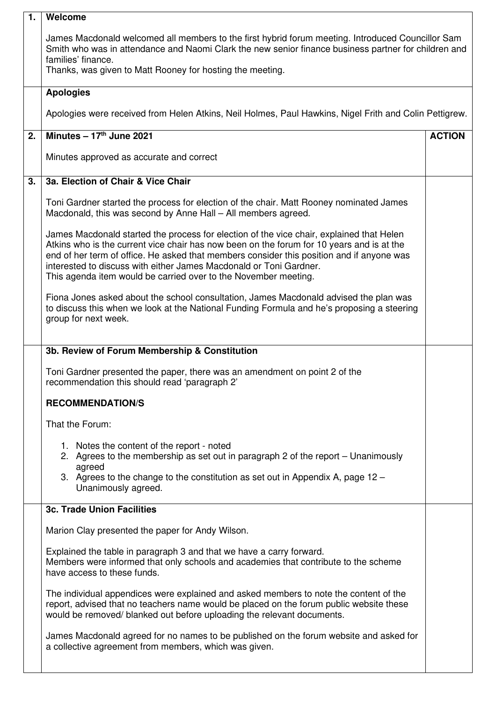| 1. | Welcome                                                                                                                                                                                                                                                                                                                                                                                                                     |               |  |
|----|-----------------------------------------------------------------------------------------------------------------------------------------------------------------------------------------------------------------------------------------------------------------------------------------------------------------------------------------------------------------------------------------------------------------------------|---------------|--|
|    | James Macdonald welcomed all members to the first hybrid forum meeting. Introduced Councillor Sam<br>Smith who was in attendance and Naomi Clark the new senior finance business partner for children and<br>families' finance.<br>Thanks, was given to Matt Rooney for hosting the meeting.                                                                                                                                |               |  |
|    | <b>Apologies</b>                                                                                                                                                                                                                                                                                                                                                                                                            |               |  |
|    | Apologies were received from Helen Atkins, Neil Holmes, Paul Hawkins, Nigel Frith and Colin Pettigrew.                                                                                                                                                                                                                                                                                                                      |               |  |
| 2. | Minutes - 17th June 2021                                                                                                                                                                                                                                                                                                                                                                                                    | <b>ACTION</b> |  |
|    | Minutes approved as accurate and correct                                                                                                                                                                                                                                                                                                                                                                                    |               |  |
| 3. | 3a. Election of Chair & Vice Chair                                                                                                                                                                                                                                                                                                                                                                                          |               |  |
|    | Toni Gardner started the process for election of the chair. Matt Rooney nominated James<br>Macdonald, this was second by Anne Hall - All members agreed.                                                                                                                                                                                                                                                                    |               |  |
|    | James Macdonald started the process for election of the vice chair, explained that Helen<br>Atkins who is the current vice chair has now been on the forum for 10 years and is at the<br>end of her term of office. He asked that members consider this position and if anyone was<br>interested to discuss with either James Macdonald or Toni Gardner.<br>This agenda item would be carried over to the November meeting. |               |  |
|    | Fiona Jones asked about the school consultation, James Macdonald advised the plan was<br>to discuss this when we look at the National Funding Formula and he's proposing a steering<br>group for next week.                                                                                                                                                                                                                 |               |  |
|    | 3b. Review of Forum Membership & Constitution                                                                                                                                                                                                                                                                                                                                                                               |               |  |
|    | Toni Gardner presented the paper, there was an amendment on point 2 of the<br>recommendation this should read 'paragraph 2'                                                                                                                                                                                                                                                                                                 |               |  |
|    | <b>RECOMMENDATION/S</b>                                                                                                                                                                                                                                                                                                                                                                                                     |               |  |
|    | That the Forum:                                                                                                                                                                                                                                                                                                                                                                                                             |               |  |
|    | 1. Notes the content of the report - noted<br>2. Agrees to the membership as set out in paragraph 2 of the report – Unanimously<br>agreed                                                                                                                                                                                                                                                                                   |               |  |
|    | 3. Agrees to the change to the constitution as set out in Appendix A, page $12 -$<br>Unanimously agreed.                                                                                                                                                                                                                                                                                                                    |               |  |
|    | <b>3c. Trade Union Facilities</b>                                                                                                                                                                                                                                                                                                                                                                                           |               |  |
|    | Marion Clay presented the paper for Andy Wilson.                                                                                                                                                                                                                                                                                                                                                                            |               |  |
|    | Explained the table in paragraph 3 and that we have a carry forward.<br>Members were informed that only schools and academies that contribute to the scheme<br>have access to these funds.                                                                                                                                                                                                                                  |               |  |
|    | The individual appendices were explained and asked members to note the content of the<br>report, advised that no teachers name would be placed on the forum public website these<br>would be removed/ blanked out before uploading the relevant documents.                                                                                                                                                                  |               |  |
|    | James Macdonald agreed for no names to be published on the forum website and asked for<br>a collective agreement from members, which was given.                                                                                                                                                                                                                                                                             |               |  |
|    |                                                                                                                                                                                                                                                                                                                                                                                                                             |               |  |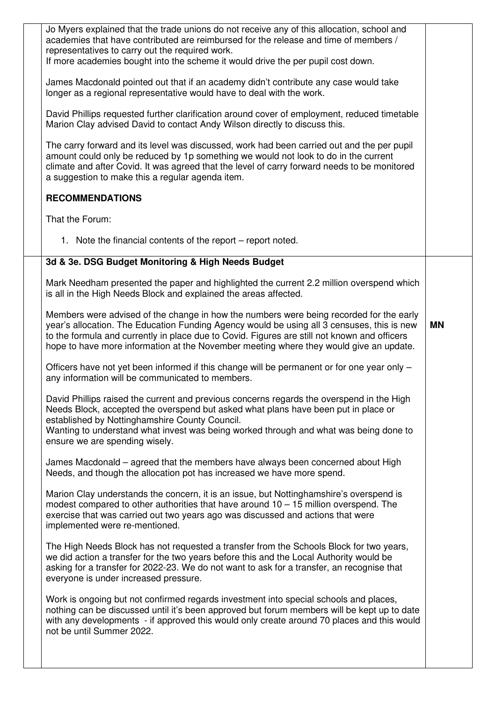| Jo Myers explained that the trade unions do not receive any of this allocation, school and<br>academies that have contributed are reimbursed for the release and time of members /<br>representatives to carry out the required work.<br>If more academies bought into the scheme it would drive the per pupil cost down.                                                       |           |
|---------------------------------------------------------------------------------------------------------------------------------------------------------------------------------------------------------------------------------------------------------------------------------------------------------------------------------------------------------------------------------|-----------|
| James Macdonald pointed out that if an academy didn't contribute any case would take<br>longer as a regional representative would have to deal with the work.                                                                                                                                                                                                                   |           |
| David Phillips requested further clarification around cover of employment, reduced timetable<br>Marion Clay advised David to contact Andy Wilson directly to discuss this.                                                                                                                                                                                                      |           |
| The carry forward and its level was discussed, work had been carried out and the per pupil<br>amount could only be reduced by 1p something we would not look to do in the current<br>climate and after Covid. It was agreed that the level of carry forward needs to be monitored<br>a suggestion to make this a regular agenda item.                                           |           |
| <b>RECOMMENDATIONS</b>                                                                                                                                                                                                                                                                                                                                                          |           |
| That the Forum:                                                                                                                                                                                                                                                                                                                                                                 |           |
| 1. Note the financial contents of the report – report noted.                                                                                                                                                                                                                                                                                                                    |           |
| 3d & 3e. DSG Budget Monitoring & High Needs Budget                                                                                                                                                                                                                                                                                                                              |           |
| Mark Needham presented the paper and highlighted the current 2.2 million overspend which<br>is all in the High Needs Block and explained the areas affected.                                                                                                                                                                                                                    |           |
| Members were advised of the change in how the numbers were being recorded for the early<br>year's allocation. The Education Funding Agency would be using all 3 censuses, this is new<br>to the formula and currently in place due to Covid. Figures are still not known and officers<br>hope to have more information at the November meeting where they would give an update. | <b>MN</b> |
| Officers have not yet been informed if this change will be permanent or for one year only -<br>any information will be communicated to members.                                                                                                                                                                                                                                 |           |
| David Phillips raised the current and previous concerns regards the overspend in the High<br>Needs Block, accepted the overspend but asked what plans have been put in place or<br>established by Nottinghamshire County Council.<br>Wanting to understand what invest was being worked through and what was being done to<br>ensure we are spending wisely.                    |           |
| James Macdonald – agreed that the members have always been concerned about High<br>Needs, and though the allocation pot has increased we have more spend.                                                                                                                                                                                                                       |           |
| Marion Clay understands the concern, it is an issue, but Nottinghamshire's overspend is<br>modest compared to other authorities that have around $10 - 15$ million overspend. The<br>exercise that was carried out two years ago was discussed and actions that were<br>implemented were re-mentioned.                                                                          |           |
| The High Needs Block has not requested a transfer from the Schools Block for two years,<br>we did action a transfer for the two years before this and the Local Authority would be<br>asking for a transfer for 2022-23. We do not want to ask for a transfer, an recognise that<br>everyone is under increased pressure.                                                       |           |
| Work is ongoing but not confirmed regards investment into special schools and places,<br>nothing can be discussed until it's been approved but forum members will be kept up to date<br>with any developments - if approved this would only create around 70 places and this would<br>not be until Summer 2022.                                                                 |           |
|                                                                                                                                                                                                                                                                                                                                                                                 |           |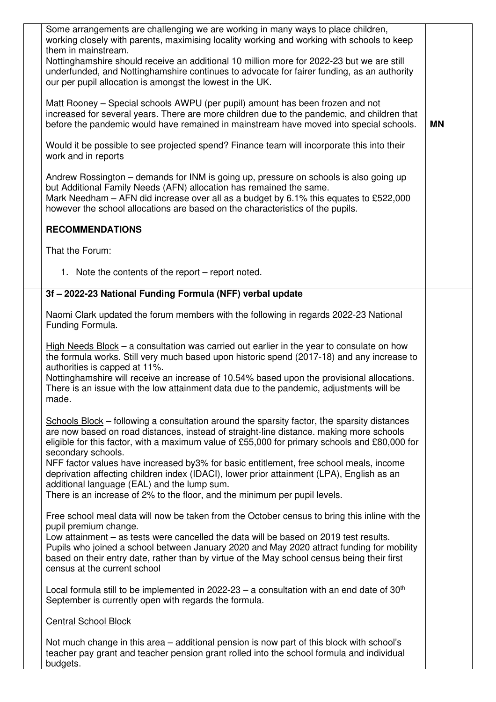| Some arrangements are challenging we are working in many ways to place children,<br>working closely with parents, maximising locality working and working with schools to keep<br>them in mainstream.<br>Nottinghamshire should receive an additional 10 million more for 2022-23 but we are still<br>underfunded, and Nottinghamshire continues to advocate for fairer funding, as an authority<br>our per pupil allocation is amongst the lowest in the UK.                                                                                                                                                                     |           |  |
|-----------------------------------------------------------------------------------------------------------------------------------------------------------------------------------------------------------------------------------------------------------------------------------------------------------------------------------------------------------------------------------------------------------------------------------------------------------------------------------------------------------------------------------------------------------------------------------------------------------------------------------|-----------|--|
| Matt Rooney – Special schools AWPU (per pupil) amount has been frozen and not<br>increased for several years. There are more children due to the pandemic, and children that<br>before the pandemic would have remained in mainstream have moved into special schools.                                                                                                                                                                                                                                                                                                                                                            | <b>MN</b> |  |
| Would it be possible to see projected spend? Finance team will incorporate this into their<br>work and in reports                                                                                                                                                                                                                                                                                                                                                                                                                                                                                                                 |           |  |
| Andrew Rossington – demands for INM is going up, pressure on schools is also going up<br>but Additional Family Needs (AFN) allocation has remained the same.<br>Mark Needham – AFN did increase over all as a budget by 6.1% this equates to £522,000<br>however the school allocations are based on the characteristics of the pupils.                                                                                                                                                                                                                                                                                           |           |  |
| <b>RECOMMENDATIONS</b>                                                                                                                                                                                                                                                                                                                                                                                                                                                                                                                                                                                                            |           |  |
| That the Forum:                                                                                                                                                                                                                                                                                                                                                                                                                                                                                                                                                                                                                   |           |  |
| 1. Note the contents of the report – report noted.                                                                                                                                                                                                                                                                                                                                                                                                                                                                                                                                                                                |           |  |
| 3f - 2022-23 National Funding Formula (NFF) verbal update                                                                                                                                                                                                                                                                                                                                                                                                                                                                                                                                                                         |           |  |
| Naomi Clark updated the forum members with the following in regards 2022-23 National<br>Funding Formula.                                                                                                                                                                                                                                                                                                                                                                                                                                                                                                                          |           |  |
| High Needs Block $-$ a consultation was carried out earlier in the year to consulate on how<br>the formula works. Still very much based upon historic spend (2017-18) and any increase to<br>authorities is capped at 11%.<br>Nottinghamshire will receive an increase of 10.54% based upon the provisional allocations.<br>There is an issue with the low attainment data due to the pandemic, adjustments will be<br>made.                                                                                                                                                                                                      |           |  |
| Schools Block – following a consultation around the sparsity factor, the sparsity distances<br>are now based on road distances, instead of straight-line distance. making more schools<br>eligible for this factor, with a maximum value of £55,000 for primary schools and £80,000 for<br>secondary schools.<br>NFF factor values have increased by3% for basic entitlement, free school meals, income<br>deprivation affecting children index (IDACI), lower prior attainment (LPA), English as an<br>additional language (EAL) and the lump sum.<br>There is an increase of 2% to the floor, and the minimum per pupil levels. |           |  |
| Free school meal data will now be taken from the October census to bring this inline with the<br>pupil premium change.<br>Low attainment – as tests were cancelled the data will be based on 2019 test results.<br>Pupils who joined a school between January 2020 and May 2020 attract funding for mobility<br>based on their entry date, rather than by virtue of the May school census being their first<br>census at the current school                                                                                                                                                                                       |           |  |
| Local formula still to be implemented in 2022-23 – a consultation with an end date of $30th$<br>September is currently open with regards the formula.                                                                                                                                                                                                                                                                                                                                                                                                                                                                             |           |  |
| <b>Central School Block</b>                                                                                                                                                                                                                                                                                                                                                                                                                                                                                                                                                                                                       |           |  |
| Not much change in this area – additional pension is now part of this block with school's<br>teacher pay grant and teacher pension grant rolled into the school formula and individual                                                                                                                                                                                                                                                                                                                                                                                                                                            |           |  |

budgets.